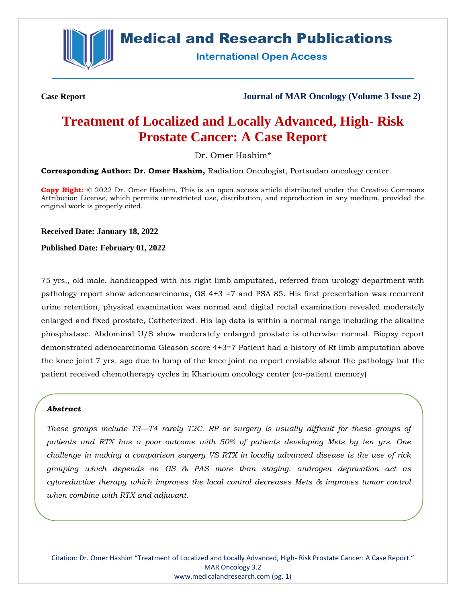

## **Medical and Research Publications**

**International Open Access** 

**Case Report Journal of MAR Oncology (Volume 3 Issue 2)**

# **Treatment of Localized and Locally Advanced, High- Risk Prostate Cancer: A Case Report**

Dr. Omer Hashim\*

**Corresponding Author: Dr. Omer Hashim,** Radiation Oncologist, Portsudan oncology center.

**Copy Right:** © 2022 Dr. Omer Hashim, This is an open access article distributed under the Creative Commons Attribution License, which permits unrestricted use, distribution, and reproduction in any medium, provided the original work is properly cited.

**Received Date: January 18, 2022**

**Published Date: February 01, 2022**

75 yrs., old male, handicapped with his right limb amputated, referred from urology department with pathology report show adenocarcinoma, GS 4+3 =7 and PSA 85. His first presentation was recurrent urine retention, physical examination was normal and digital rectal examination revealed moderately enlarged and fixed prostate, Catheterized. His lap data is within a normal range including the alkaline phosphatase. Abdominal U/S show moderately enlarged prostate is otherwise normal. Biopsy report demonstrated adenocarcinoma Gleason score 4+3=7 Patient had a history of Rt limb amputation above the knee joint 7 yrs. ago due to lump of the knee joint no report enviable about the pathology but the patient received chemotherapy cycles in Khartoum oncology center (co-patient memory)

#### *Abstract*

*These groups include T3—T4 rarely T2C. RP or surgery is usually difficult for these groups of patients and RTX has a poor outcome with 50% of patients developing Mets by ten yrs. One challenge in making a comparison surgery VS RTX in locally advanced disease is the use of rick grouping which depends on GS & PAS more than staging. androgen deprivation act as cytoreductive therapy which improves the local control decreases Mets & improves tumor control when combine with RTX and adjuvant.*

Citation: Dr. Omer Hashim "Treatment of Localized and Locally Advanced, High- Risk Prostate Cancer: A Case Report." MAR Oncology 3.2 [www.medicalandresearch.com](http://www.medicalandresearch.com/) (pg. 1)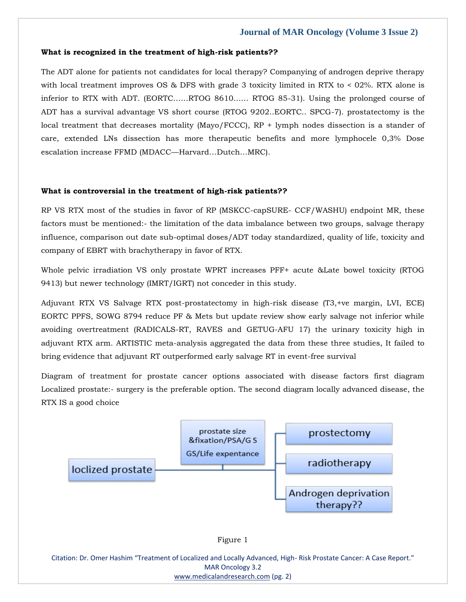## **Journal of MAR Oncology (Volume 3 Issue 2)**

#### **What is recognized in the treatment of high-risk patients??**

The ADT alone for patients not candidates for local therapy? Companying of androgen deprive therapy with local treatment improves OS & DFS with grade 3 toxicity limited in RTX to < 02%. RTX alone is inferior to RTX with ADT. (EORTC……RTOG 8610…… RTOG 85-31). Using the prolonged course of ADT has a survival advantage VS short course (RTOG 9202..EORTC.. SPCG-7). prostatectomy is the local treatment that decreases mortality (Mayo/FCCC), RP + lymph nodes dissection is a stander of care, extended LNs dissection has more therapeutic benefits and more lymphocele 0,3% Dose escalation increase FFMD (MDACC—Harvard…Dutch…MRC).

#### **What is controversial in the treatment of high-risk patients??**

RP VS RTX most of the studies in favor of RP (MSKCC-capSURE- CCF/WASHU) endpoint MR, these factors must be mentioned:- the limitation of the data imbalance between two groups, salvage therapy influence, comparison out date sub-optimal doses/ADT today standardized, quality of life, toxicity and company of EBRT with brachytherapy in favor of RTX.

Whole pelvic irradiation VS only prostate WPRT increases PFF+ acute &Late bowel toxicity (RTOG 9413) but newer technology (IMRT/IGRT) not conceder in this study.

Adjuvant RTX VS Salvage RTX post-prostatectomy in high-risk disease (T3,+ve margin, LVI, ECE) EORTC PPFS, SOWG 8794 reduce PF & Mets but update review show early salvage not inferior while avoiding overtreatment (RADICALS-RT, RAVES and GETUG-AFU 17) the urinary toxicity high in adjuvant RTX arm. ARTISTIC meta-analysis aggregated the data from these three studies, It failed to bring evidence that adjuvant RT outperformed early salvage RT in event-free survival

Diagram of treatment for prostate cancer options associated with disease factors first diagram Localized prostate:- surgery is the preferable option. The second diagram locally advanced disease, the RTX IS a good choice





Citation: Dr. Omer Hashim "Treatment of Localized and Locally Advanced, High- Risk Prostate Cancer: A Case Report." MAR Oncology 3.2 [www.medicalandresearch.com](http://www.medicalandresearch.com/) (pg. 2)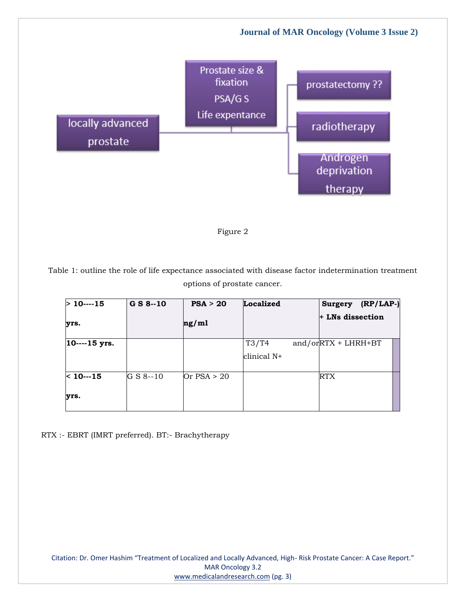



Table 1: outline the role of life expectance associated with disease factor indetermination treatment options of prostate cancer.

| $>10$ ---15         | $G S 8 - 10$ | PSA > 20      | Localized            | $(RP/LAP-)$<br><b>Surgery</b> |
|---------------------|--------------|---------------|----------------------|-------------------------------|
| yrs.                |              | ng/ml         |                      | $+$ LNs dissection            |
| $ 10---15$ yrs.     |              |               | T3/T4<br>clinical N+ | $and/or RTX + LHRH + BT$      |
| $< 10 - 15$<br>yrs. | G S 8--10    | Or $PSA > 20$ |                      | RTX                           |

RTX :- EBRT (IMRT preferred). BT:- Brachytherapy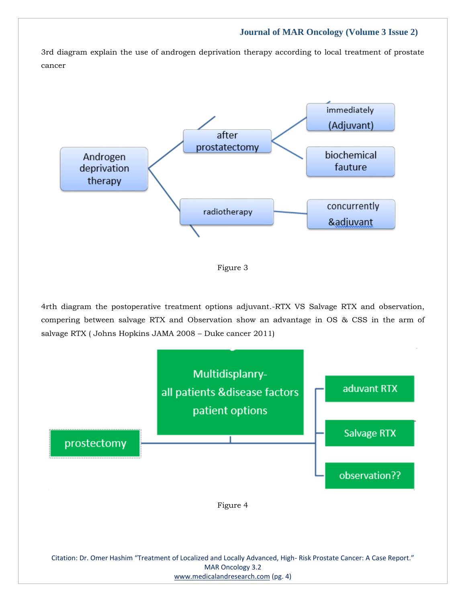## **Journal of MAR Oncology (Volume 3 Issue 2)**

3rd diagram explain the use of androgen deprivation therapy according to local treatment of prostate cancer



Figure 3

4rth diagram the postoperative treatment options adjuvant.-RTX VS Salvage RTX and observation, compering between salvage RTX and Observation show an advantage in OS & CSS in the arm of salvage RTX ( Johns Hopkins JAMA 2008 – Duke cancer 2011)



[www.medicalandresearch.com](http://www.medicalandresearch.com/) (pg. 4)